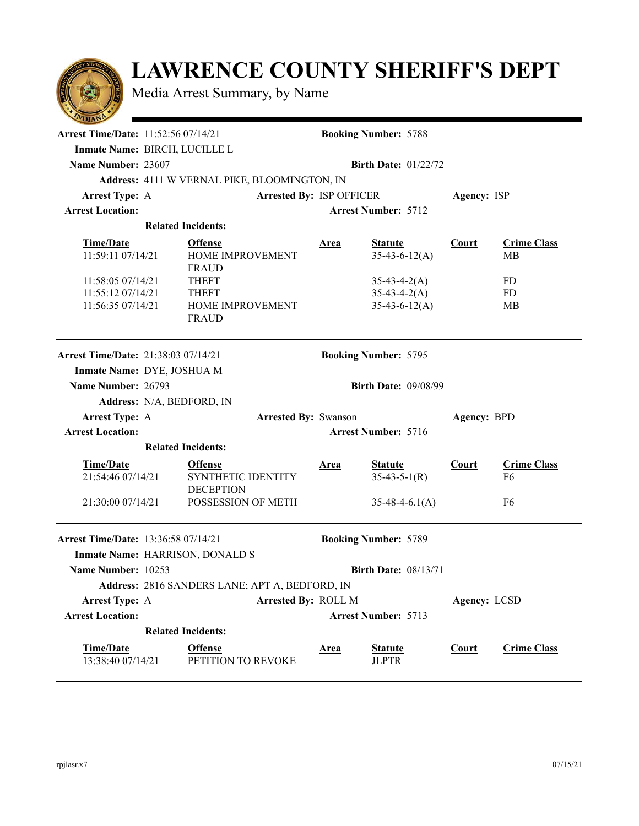## **LAWRENCE COUNTY SHERIFF'S DEPT**

Media Arrest Summary, by Name

| <b>Arrest Time/Date: 11:52:56 07/14/21</b>                     | <b>Booking Number: 5788</b>                              |                                            |                                   |              |                                      |  |  |  |
|----------------------------------------------------------------|----------------------------------------------------------|--------------------------------------------|-----------------------------------|--------------|--------------------------------------|--|--|--|
| Inmate Name: BIRCH, LUCILLE L                                  |                                                          |                                            |                                   |              |                                      |  |  |  |
| Name Number: 23607<br><b>Birth Date: <math>01/22/72</math></b> |                                                          |                                            |                                   |              |                                      |  |  |  |
|                                                                | Address: 4111 W VERNAL PIKE, BLOOMINGTON, IN             |                                            |                                   |              |                                      |  |  |  |
| <b>Arrest Type: A</b>                                          |                                                          | Arrested By: ISP OFFICER                   |                                   | Agency: ISP  |                                      |  |  |  |
| <b>Arrest Location:</b>                                        |                                                          |                                            | <b>Arrest Number: 5712</b>        |              |                                      |  |  |  |
|                                                                | <b>Related Incidents:</b>                                |                                            |                                   |              |                                      |  |  |  |
| <b>Time/Date</b><br>11:59:11 07/14/21                          | <b>Offense</b><br>HOME IMPROVEMENT<br><b>FRAUD</b>       | <u>Area</u>                                | <b>Statute</b><br>$35-43-6-12(A)$ | Court        | <b>Crime Class</b><br>MВ             |  |  |  |
| 11:58:05 07/14/21                                              | <b>THEFT</b>                                             |                                            | $35-43-4-2(A)$                    |              | FD                                   |  |  |  |
| 11:55:12 07/14/21                                              | <b>THEFT</b>                                             |                                            | $35-43-4-2(A)$                    |              | FD                                   |  |  |  |
| 11:56:35 07/14/21                                              | HOME IMPROVEMENT<br><b>FRAUD</b>                         |                                            | $35-43-6-12(A)$                   |              | MB                                   |  |  |  |
| <b>Arrest Time/Date: 21:38:03 07/14/21</b>                     |                                                          |                                            | <b>Booking Number: 5795</b>       |              |                                      |  |  |  |
| Inmate Name: DYE, JOSHUA M                                     |                                                          |                                            |                                   |              |                                      |  |  |  |
|                                                                | Name Number: 26793<br><b>Birth Date: 09/08/99</b>        |                                            |                                   |              |                                      |  |  |  |
|                                                                | Address: N/A, BEDFORD, IN                                |                                            |                                   |              |                                      |  |  |  |
| <b>Arrest Type: A</b>                                          |                                                          | <b>Arrested By: Swanson</b><br>Agency: BPD |                                   |              |                                      |  |  |  |
| <b>Arrest Location:</b>                                        |                                                          | <b>Arrest Number: 5716</b>                 |                                   |              |                                      |  |  |  |
|                                                                | <b>Related Incidents:</b>                                |                                            |                                   |              |                                      |  |  |  |
| <b>Time/Date</b><br>21:54:46 07/14/21                          | <b>Offense</b><br>SYNTHETIC IDENTITY<br><b>DECEPTION</b> | <b>Area</b>                                | <b>Statute</b><br>$35-43-5-1(R)$  | <b>Court</b> | <b>Crime Class</b><br>F <sub>6</sub> |  |  |  |
| 21:30:00 07/14/21                                              | POSSESSION OF METH                                       |                                            | $35-48-4-6.1(A)$                  |              | F <sub>6</sub>                       |  |  |  |
| <b>Arrest Time/Date: 13:36:58 07/14/21</b>                     |                                                          |                                            | <b>Booking Number: 5789</b>       |              |                                      |  |  |  |
|                                                                | Inmate Name: HARRISON, DONALD S                          |                                            |                                   |              |                                      |  |  |  |
| Name Number: 10253                                             |                                                          |                                            | <b>Birth Date: 08/13/71</b>       |              |                                      |  |  |  |
|                                                                | Address: 2816 SANDERS LANE; APT A, BEDFORD, IN           |                                            |                                   |              |                                      |  |  |  |
| <b>Arrest Type: A</b>                                          |                                                          | Arrested By: ROLL M                        |                                   |              | Agency: LCSD                         |  |  |  |
| <b>Arrest Location:</b>                                        |                                                          |                                            | <b>Arrest Number: 5713</b>        |              |                                      |  |  |  |
|                                                                | <b>Related Incidents:</b>                                |                                            |                                   |              |                                      |  |  |  |
| <b>Time/Date</b><br>13:38:40 07/14/21                          | <b>Offense</b><br>PETITION TO REVOKE                     | <b>Area</b>                                | <b>Statute</b><br><b>JLPTR</b>    | <b>Court</b> | <b>Crime Class</b>                   |  |  |  |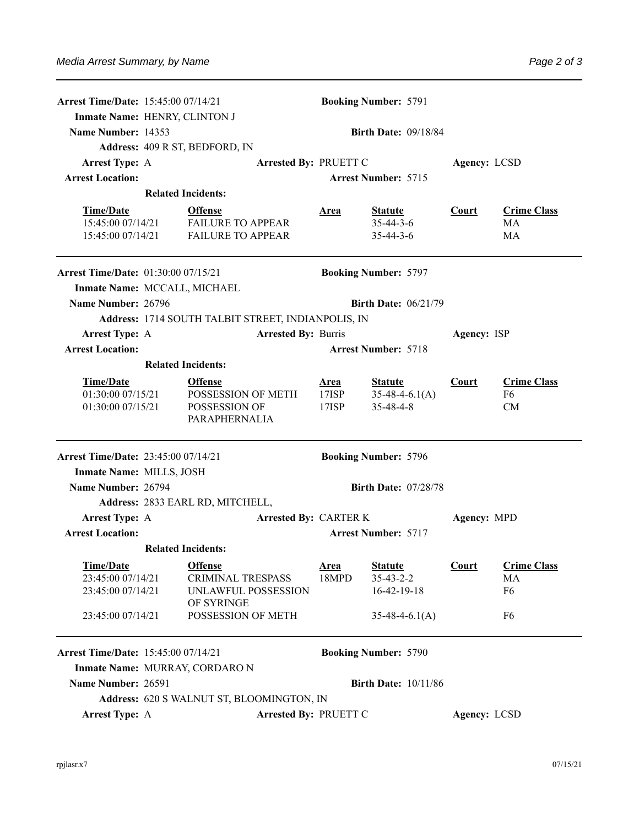| <b>Arrest Time/Date: 15:45:00 07/14/21</b> | <b>Booking Number: 5791</b>                        |                                           |                                       |                             |             |                    |  |  |
|--------------------------------------------|----------------------------------------------------|-------------------------------------------|---------------------------------------|-----------------------------|-------------|--------------------|--|--|
|                                            | Inmate Name: HENRY, CLINTON J                      |                                           |                                       |                             |             |                    |  |  |
| Name Number: 14353                         | <b>Birth Date: 09/18/84</b>                        |                                           |                                       |                             |             |                    |  |  |
| Address: 409 R ST, BEDFORD, IN             |                                                    |                                           |                                       |                             |             |                    |  |  |
| <b>Arrest Type: A</b>                      |                                                    |                                           | Arrested By: PRUETT C<br>Agency: LCSD |                             |             |                    |  |  |
| <b>Arrest Location:</b>                    |                                                    |                                           |                                       | <b>Arrest Number: 5715</b>  |             |                    |  |  |
|                                            |                                                    | <b>Related Incidents:</b>                 |                                       |                             |             |                    |  |  |
| <b>Time/Date</b>                           |                                                    | <b>Offense</b>                            | <u>Area</u>                           | <b>Statute</b>              | Court       | <b>Crime Class</b> |  |  |
| 15:45:00 07/14/21                          |                                                    | <b>FAILURE TO APPEAR</b>                  |                                       | $35 - 44 - 3 - 6$           |             | <b>MA</b>          |  |  |
| 15:45:00 07/14/21                          |                                                    | <b>FAILURE TO APPEAR</b>                  |                                       | $35 - 44 - 3 - 6$           |             | MA                 |  |  |
| <b>Arrest Time/Date: 01:30:00 07/15/21</b> |                                                    |                                           |                                       | <b>Booking Number: 5797</b> |             |                    |  |  |
| Inmate Name: MCCALL, MICHAEL               |                                                    |                                           |                                       |                             |             |                    |  |  |
| Name Number: 26796                         |                                                    | <b>Birth Date: <math>06/21/79</math></b>  |                                       |                             |             |                    |  |  |
|                                            | Address: 1714 SOUTH TALBIT STREET, INDIANPOLIS, IN |                                           |                                       |                             |             |                    |  |  |
| <b>Arrest Type: A</b>                      |                                                    | <b>Arrested By: Burris</b>                | Agency: ISP                           |                             |             |                    |  |  |
| <b>Arrest Location:</b>                    | <b>Arrest Number: 5718</b>                         |                                           |                                       |                             |             |                    |  |  |
|                                            |                                                    | <b>Related Incidents:</b>                 |                                       |                             |             |                    |  |  |
| <b>Time/Date</b>                           |                                                    | <b>Offense</b>                            | <u>Area</u>                           | <b>Statute</b>              | Court       | <b>Crime Class</b> |  |  |
| 01:30:00 07/15/21                          |                                                    | POSSESSION OF METH                        | 17ISP                                 | $35-48-4-6.1(A)$            |             | F <sub>6</sub>     |  |  |
| 01:30:00 07/15/21                          |                                                    | POSSESSION OF<br>PARAPHERNALIA            | $17$ $ISP$                            | $35 - 48 - 4 - 8$           |             | CM                 |  |  |
| <b>Arrest Time/Date: 23:45:00 07/14/21</b> |                                                    |                                           |                                       | <b>Booking Number: 5796</b> |             |                    |  |  |
| Inmate Name: MILLS, JOSH                   |                                                    |                                           |                                       |                             |             |                    |  |  |
| Name Number: 26794                         |                                                    | <b>Birth Date: 07/28/78</b>               |                                       |                             |             |                    |  |  |
|                                            |                                                    | Address: 2833 EARL RD, MITCHELL,          |                                       |                             |             |                    |  |  |
| <b>Arrest Type: A</b>                      |                                                    | <b>Arrested By: CARTER K</b>              |                                       |                             | Agency: MPD |                    |  |  |
| <b>Arrest Location:</b>                    |                                                    |                                           | <b>Arrest Number: 5717</b>            |                             |             |                    |  |  |
|                                            |                                                    | <b>Related Incidents:</b>                 |                                       |                             |             |                    |  |  |
| <b>Time/Date</b>                           |                                                    | <b>Offense</b>                            | <u>Area</u>                           | <b>Statute</b>              | Court       | <b>Crime Class</b> |  |  |
| 23:45:00 07/14/21                          |                                                    | <b>CRIMINAL TRESPASS</b>                  | 18MPD                                 | $35 - 43 - 2 - 2$           |             | MA                 |  |  |
| 23:45:00 07/14/21                          |                                                    | UNLAWFUL POSSESSION<br>OF SYRINGE         |                                       | $16-42-19-18$               |             | F <sub>6</sub>     |  |  |
| 23:45:00 07/14/21                          |                                                    | POSSESSION OF METH                        |                                       | $35-48-4-6.1(A)$            |             | F <sub>6</sub>     |  |  |
| <b>Arrest Time/Date: 15:45:00 07/14/21</b> |                                                    |                                           |                                       | <b>Booking Number: 5790</b> |             |                    |  |  |
|                                            |                                                    | Inmate Name: MURRAY, CORDARO N            |                                       |                             |             |                    |  |  |
| Name Number: 26591                         |                                                    |                                           | <b>Birth Date: 10/11/86</b>           |                             |             |                    |  |  |
|                                            |                                                    | Address: 620 S WALNUT ST, BLOOMINGTON, IN |                                       |                             |             |                    |  |  |
| <b>Arrest Type: A</b>                      |                                                    | <b>Arrested By: PRUETT C</b>              |                                       | Agency: LCSD                |             |                    |  |  |